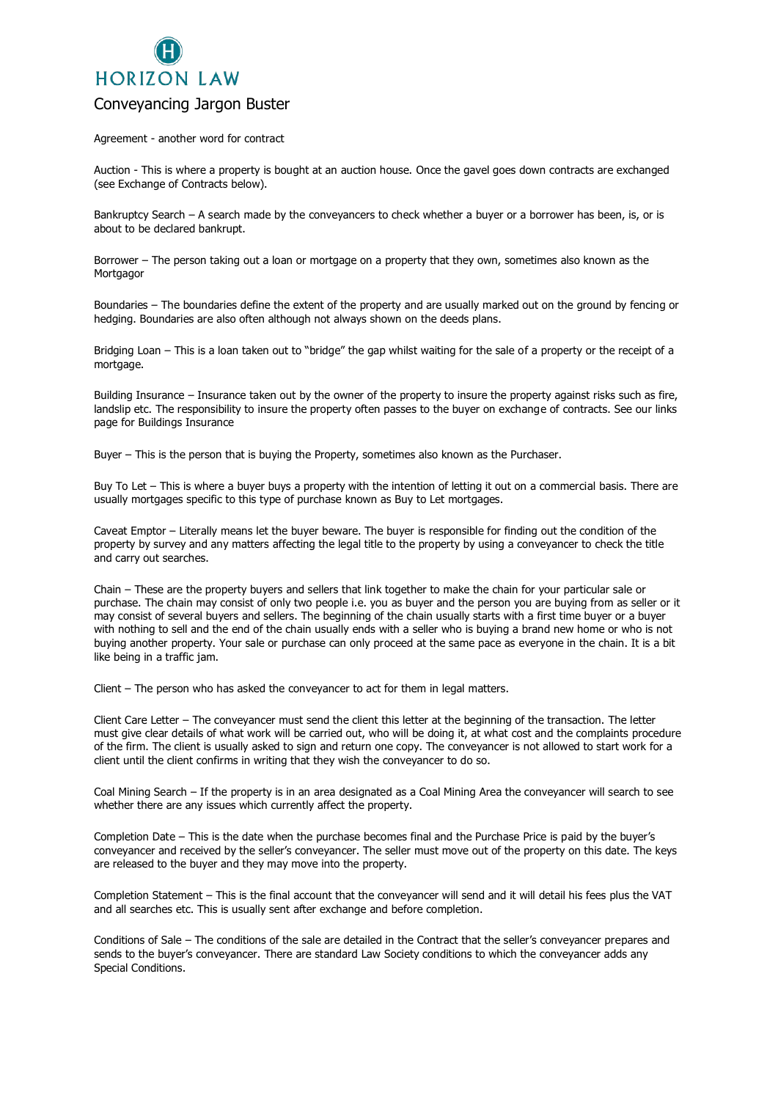

Agreement - another word for contract

Auction - This is where a property is bought at an auction house. Once the gavel goes down contracts are exchanged (see Exchange of Contracts below).

Bankruptcy Search – A search made by the conveyancers to check whether a buyer or a borrower has been, is, or is about to be declared bankrupt.

Borrower – The person taking out a loan or mortgage on a property that they own, sometimes also known as the Mortgagor

Boundaries – The boundaries define the extent of the property and are usually marked out on the ground by fencing or hedging. Boundaries are also often although not always shown on the deeds plans.

Bridging Loan – This is a loan taken out to "bridge" the gap whilst waiting for the sale of a property or the receipt of a mortgage.

Building Insurance – Insurance taken out by the owner of the property to insure the property against risks such as fire, landslip etc. The responsibility to insure the property often passes to the buyer on exchange of contracts. See our links page for Buildings Insurance

Buyer – This is the person that is buying the Property, sometimes also known as the Purchaser.

Buy To Let – This is where a buyer buys a property with the intention of letting it out on a commercial basis. There are usually mortgages specific to this type of purchase known as Buy to Let mortgages.

Caveat Emptor – Literally means let the buyer beware. The buyer is responsible for finding out the condition of the property by survey and any matters affecting the legal title to the property by using a conveyancer to check the title and carry out searches.

Chain – These are the property buyers and sellers that link together to make the chain for your particular sale or purchase. The chain may consist of only two people i.e. you as buyer and the person you are buying from as seller or it may consist of several buyers and sellers. The beginning of the chain usually starts with a first time buyer or a buyer with nothing to sell and the end of the chain usually ends with a seller who is buying a brand new home or who is not buying another property. Your sale or purchase can only proceed at the same pace as everyone in the chain. It is a bit like being in a traffic jam.

Client – The person who has asked the conveyancer to act for them in legal matters.

Client Care Letter – The conveyancer must send the client this letter at the beginning of the transaction. The letter must give clear details of what work will be carried out, who will be doing it, at what cost and the complaints procedure of the firm. The client is usually asked to sign and return one copy. The conveyancer is not allowed to start work for a client until the client confirms in writing that they wish the conveyancer to do so.

Coal Mining Search – If the property is in an area designated as a Coal Mining Area the conveyancer will search to see whether there are any issues which currently affect the property.

Completion Date – This is the date when the purchase becomes final and the Purchase Price is paid by the buyer's conveyancer and received by the seller's conveyancer. The seller must move out of the property on this date. The keys are released to the buyer and they may move into the property.

Completion Statement – This is the final account that the conveyancer will send and it will detail his fees plus the VAT and all searches etc. This is usually sent after exchange and before completion.

Conditions of Sale – The conditions of the sale are detailed in the Contract that the seller's conveyancer prepares and sends to the buyer's conveyancer. There are standard Law Society conditions to which the conveyancer adds any Special Conditions.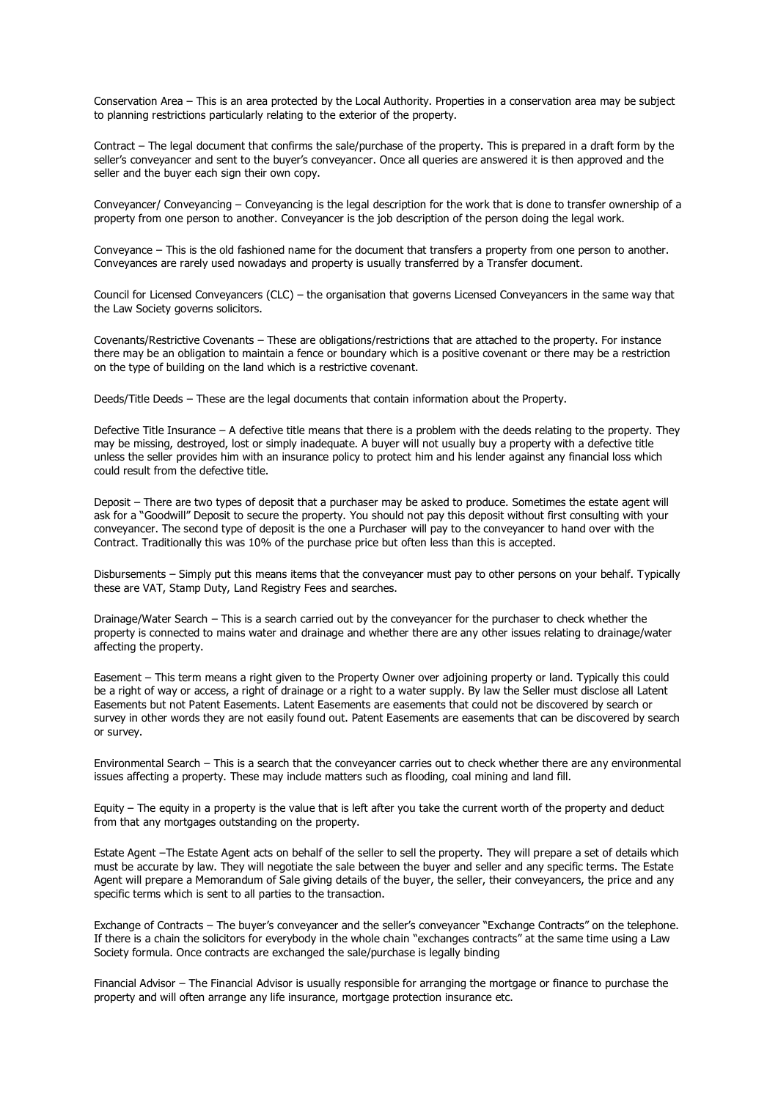Conservation Area – This is an area protected by the Local Authority. Properties in a conservation area may be subject to planning restrictions particularly relating to the exterior of the property.

Contract – The legal document that confirms the sale/purchase of the property. This is prepared in a draft form by the seller's conveyancer and sent to the buyer's conveyancer. Once all queries are answered it is then approved and the seller and the buyer each sign their own copy.

Conveyancer/ Conveyancing – Conveyancing is the legal description for the work that is done to transfer ownership of a property from one person to another. Conveyancer is the job description of the person doing the legal work.

Conveyance – This is the old fashioned name for the document that transfers a property from one person to another. Conveyances are rarely used nowadays and property is usually transferred by a Transfer document.

Council for Licensed Conveyancers (CLC) – the organisation that governs Licensed Conveyancers in the same way that the Law Society governs solicitors.

Covenants/Restrictive Covenants – These are obligations/restrictions that are attached to the property. For instance there may be an obligation to maintain a fence or boundary which is a positive covenant or there may be a restriction on the type of building on the land which is a restrictive covenant.

Deeds/Title Deeds – These are the legal documents that contain information about the Property.

Defective Title Insurance – A defective title means that there is a problem with the deeds relating to the property. They may be missing, destroyed, lost or simply inadequate. A buyer will not usually buy a property with a defective title unless the seller provides him with an insurance policy to protect him and his lender against any financial loss which could result from the defective title.

Deposit – There are two types of deposit that a purchaser may be asked to produce. Sometimes the estate agent will ask for a "Goodwill" Deposit to secure the property. You should not pay this deposit without first consulting with your conveyancer. The second type of deposit is the one a Purchaser will pay to the conveyancer to hand over with the Contract. Traditionally this was 10% of the purchase price but often less than this is accepted.

Disbursements – Simply put this means items that the conveyancer must pay to other persons on your behalf. Typically these are VAT, Stamp Duty, Land Registry Fees and searches.

Drainage/Water Search – This is a search carried out by the conveyancer for the purchaser to check whether the property is connected to mains water and drainage and whether there are any other issues relating to drainage/water affecting the property.

Easement – This term means a right given to the Property Owner over adjoining property or land. Typically this could be a right of way or access, a right of drainage or a right to a water supply. By law the Seller must disclose all Latent Easements but not Patent Easements. Latent Easements are easements that could not be discovered by search or survey in other words they are not easily found out. Patent Easements are easements that can be discovered by search or survey.

Environmental Search – This is a search that the conveyancer carries out to check whether there are any environmental issues affecting a property. These may include matters such as flooding, coal mining and land fill.

Equity – The equity in a property is the value that is left after you take the current worth of the property and deduct from that any mortgages outstanding on the property.

Estate Agent –The Estate Agent acts on behalf of the seller to sell the property. They will prepare a set of details which must be accurate by law. They will negotiate the sale between the buyer and seller and any specific terms. The Estate Agent will prepare a Memorandum of Sale giving details of the buyer, the seller, their conveyancers, the price and any specific terms which is sent to all parties to the transaction.

Exchange of Contracts – The buyer's conveyancer and the seller's conveyancer "Exchange Contracts" on the telephone. If there is a chain the solicitors for everybody in the whole chain "exchanges contracts" at the same time using a Law Society formula. Once contracts are exchanged the sale/purchase is legally binding

Financial Advisor – The Financial Advisor is usually responsible for arranging the mortgage or finance to purchase the property and will often arrange any life insurance, mortgage protection insurance etc.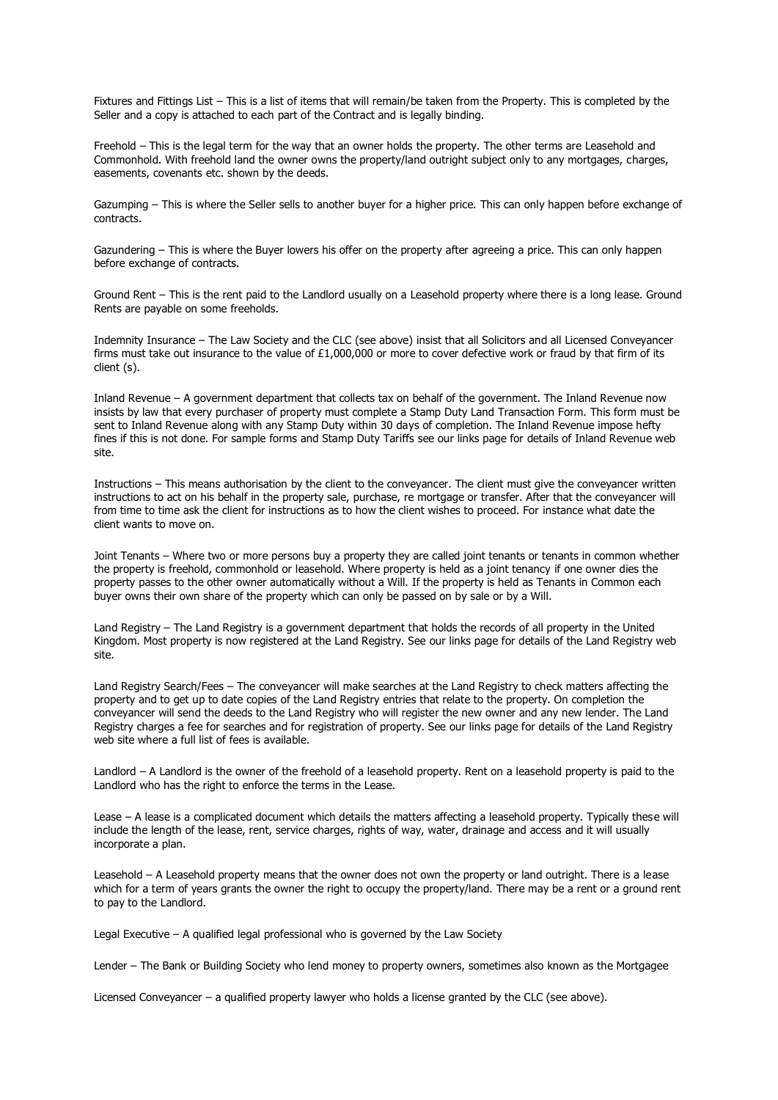Fixtures and Fittings List – This is a list of items that will remain/be taken from the Property. This is completed by the Seller and a copy is attached to each part of the Contract and is legally binding.

Freehold – This is the legal term for the way that an owner holds the property. The other terms are Leasehold and Commonhold. With freehold land the owner owns the property/land outright subject only to any mortgages, charges, easements, covenants etc. shown by the deeds.

Gazumping – This is where the Seller sells to another buyer for a higher price. This can only happen before exchange of contracts.

Gazundering – This is where the Buyer lowers his offer on the property after agreeing a price. This can only happen before exchange of contracts.

Ground Rent – This is the rent paid to the Landlord usually on a Leasehold property where there is a long lease. Ground Rents are payable on some freeholds.

Indemnity Insurance – The Law Society and the CLC (see above) insist that all Solicitors and all Licensed Conveyancer firms must take out insurance to the value of £1,000,000 or more to cover defective work or fraud by that firm of its client (s).

Inland Revenue – A government department that collects tax on behalf of the government. The Inland Revenue now insists by law that every purchaser of property must complete a Stamp Duty Land Transaction Form. This form must be sent to Inland Revenue along with any Stamp Duty within 30 days of completion. The Inland Revenue impose hefty fines if this is not done. For sample forms and Stamp Duty Tariffs see our links page for details of Inland Revenue web site.

Instructions – This means authorisation by the client to the conveyancer. The client must give the conveyancer written instructions to act on his behalf in the property sale, purchase, re mortgage or transfer. After that the conveyancer will from time to time ask the client for instructions as to how the client wishes to proceed. For instance what date the client wants to move on.

Joint Tenants – Where two or more persons buy a property they are called joint tenants or tenants in common whether the property is freehold, commonhold or leasehold. Where property is held as a joint tenancy if one owner dies the property passes to the other owner automatically without a Will. If the property is held as Tenants in Common each buyer owns their own share of the property which can only be passed on by sale or by a Will.

Land Registry – The Land Registry is a government department that holds the records of all property in the United Kingdom. Most property is now registered at the Land Registry. See our links page for details of the Land Registry web site.

Land Registry Search/Fees – The conveyancer will make searches at the Land Registry to check matters affecting the property and to get up to date copies of the Land Registry entries that relate to the property. On completion the conveyancer will send the deeds to the Land Registry who will register the new owner and any new lender. The Land Registry charges a fee for searches and for registration of property. See our links page for details of the Land Registry web site where a full list of fees is available.

Landlord – A Landlord is the owner of the freehold of a leasehold property. Rent on a leasehold property is paid to the Landlord who has the right to enforce the terms in the Lease.

Lease – A lease is a complicated document which details the matters affecting a leasehold property. Typically these will include the length of the lease, rent, service charges, rights of way, water, drainage and access and it will usually incorporate a plan.

Leasehold – A Leasehold property means that the owner does not own the property or land outright. There is a lease which for a term of years grants the owner the right to occupy the property/land. There may be a rent or a ground rent to pay to the Landlord.

Legal Executive – A qualified legal professional who is governed by the Law Society

Lender – The Bank or Building Society who lend money to property owners, sometimes also known as the Mortgagee

Licensed Conveyancer – a qualified property lawyer who holds a license granted by the CLC (see above).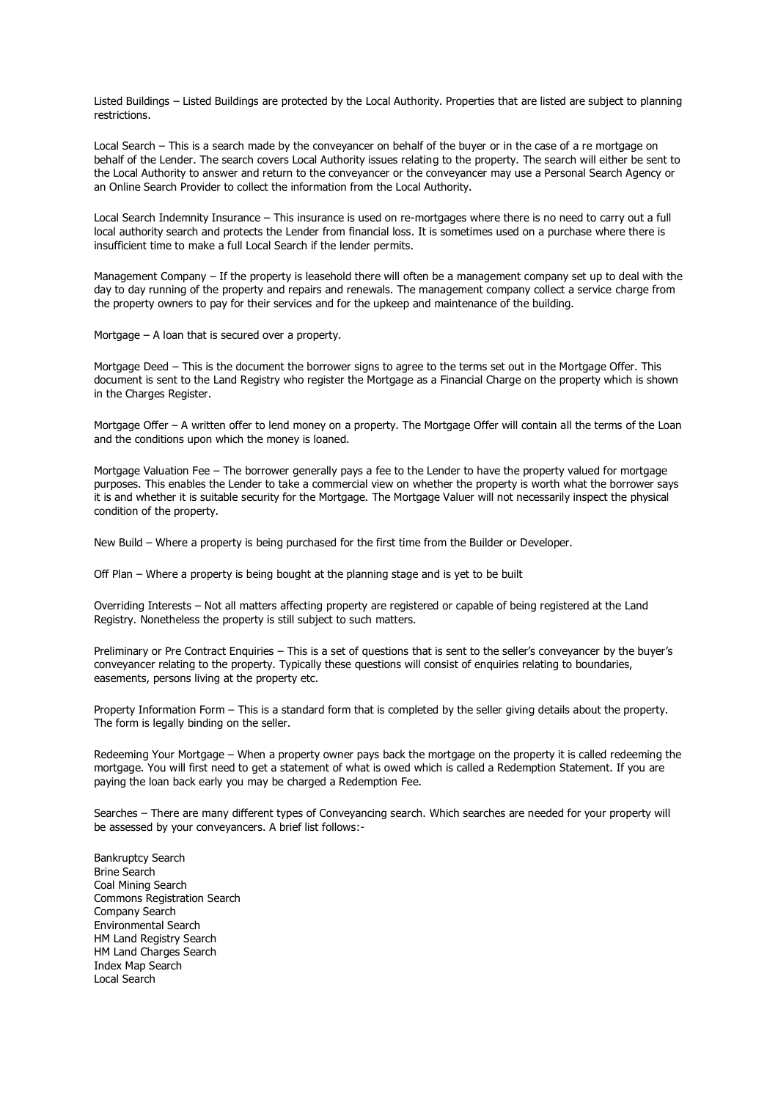Listed Buildings – Listed Buildings are protected by the Local Authority. Properties that are listed are subject to planning restrictions.

Local Search – This is a search made by the conveyancer on behalf of the buyer or in the case of a re mortgage on behalf of the Lender. The search covers Local Authority issues relating to the property. The search will either be sent to the Local Authority to answer and return to the conveyancer or the conveyancer may use a Personal Search Agency or an Online Search Provider to collect the information from the Local Authority.

Local Search Indemnity Insurance – This insurance is used on re-mortgages where there is no need to carry out a full local authority search and protects the Lender from financial loss. It is sometimes used on a purchase where there is insufficient time to make a full Local Search if the lender permits.

Management Company – If the property is leasehold there will often be a management company set up to deal with the day to day running of the property and repairs and renewals. The management company collect a service charge from the property owners to pay for their services and for the upkeep and maintenance of the building.

Mortgage – A loan that is secured over a property.

Mortgage Deed – This is the document the borrower signs to agree to the terms set out in the Mortgage Offer. This document is sent to the Land Registry who register the Mortgage as a Financial Charge on the property which is shown in the Charges Register.

Mortgage Offer – A written offer to lend money on a property. The Mortgage Offer will contain all the terms of the Loan and the conditions upon which the money is loaned.

Mortgage Valuation Fee – The borrower generally pays a fee to the Lender to have the property valued for mortgage purposes. This enables the Lender to take a commercial view on whether the property is worth what the borrower says it is and whether it is suitable security for the Mortgage. The Mortgage Valuer will not necessarily inspect the physical condition of the property.

New Build – Where a property is being purchased for the first time from the Builder or Developer.

Off Plan – Where a property is being bought at the planning stage and is yet to be built

Overriding Interests – Not all matters affecting property are registered or capable of being registered at the Land Registry. Nonetheless the property is still subject to such matters.

Preliminary or Pre Contract Enquiries – This is a set of questions that is sent to the seller's conveyancer by the buyer's conveyancer relating to the property. Typically these questions will consist of enquiries relating to boundaries, easements, persons living at the property etc.

Property Information Form – This is a standard form that is completed by the seller giving details about the property. The form is legally binding on the seller.

Redeeming Your Mortgage – When a property owner pays back the mortgage on the property it is called redeeming the mortgage. You will first need to get a statement of what is owed which is called a Redemption Statement. If you are paying the loan back early you may be charged a Redemption Fee.

Searches – There are many different types of Conveyancing search. Which searches are needed for your property will be assessed by your conveyancers. A brief list follows:-

Bankruptcy Search Brine Search Coal Mining Search Commons Registration Search Company Search Environmental Search HM Land Registry Search HM Land Charges Search Index Map Search Local Search